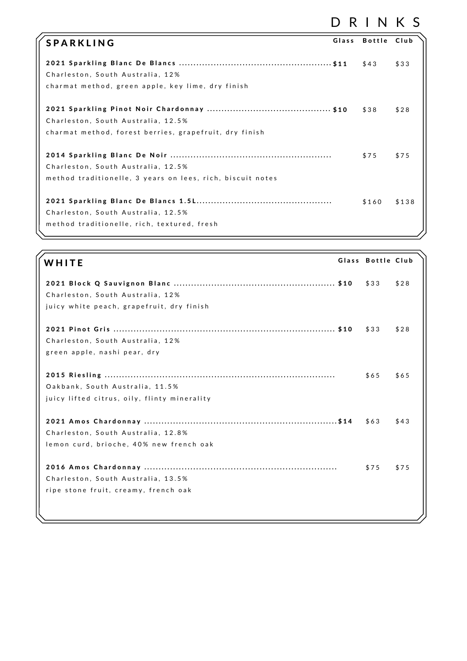## D R I N K S

| <b>SPARKLING</b>                                                                                 | Glass Bottle | Club  |
|--------------------------------------------------------------------------------------------------|--------------|-------|
| Charleston, South Australia, 12%<br>charmat method, green apple, key lime, dry finish            | \$43         | \$33  |
| Charleston, South Australia, 12.5%<br>charmat method, forest berries, grapefruit, dry finish     | \$38         | \$28  |
| Charleston, South Australia, 12.5%<br>method traditionelle, 3 years on lees, rich, biscuit notes | \$75         | \$75  |
| Charleston, South Australia, 12.5%<br>method traditionelle, rich, textured, fresh                | \$160        | \$138 |

| WHITE                                        | Glass Bottle Club |      |
|----------------------------------------------|-------------------|------|
|                                              | \$33              | \$28 |
| Charleston, South Australia, 12%             |                   |      |
| juicy white peach, grapefruit, dry finish    |                   |      |
|                                              |                   |      |
|                                              | \$33              | \$28 |
| Charleston, South Australia, 12%             |                   |      |
| green apple, nashi pear, dry                 |                   |      |
|                                              |                   |      |
|                                              | \$65              | \$65 |
| Oakbank, South Australia, 11.5%              |                   |      |
| juicy lifted citrus, oily, flinty minerality |                   |      |
|                                              |                   |      |
|                                              | \$63              | \$43 |
| Charleston, South Australia, 12.8%           |                   |      |
| lemon curd, brioche, 40% new french oak      |                   |      |
|                                              |                   |      |
|                                              | \$75              | \$75 |
| Charleston, South Australia, 13.5%           |                   |      |
| ripe stone fruit, creamy, french oak         |                   |      |
|                                              |                   |      |
|                                              |                   |      |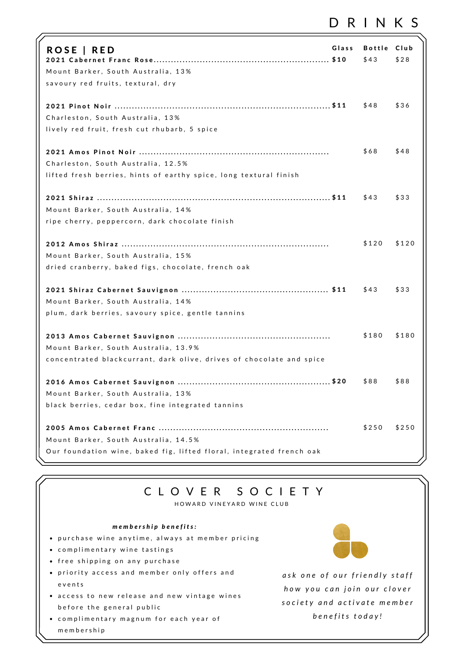### D R I N K S

| ROSE   RED<br>Mount Barker, South Australia, 13%<br>savoury red fruits, textural, dry                      | Glass | <b>Bottle</b><br>\$43 | Club<br>\$28 |
|------------------------------------------------------------------------------------------------------------|-------|-----------------------|--------------|
| Charleston, South Australia, 13%<br>lively red fruit, fresh cut rhubarb, 5 spice                           |       | \$48                  | \$36         |
| Charleston, South Australia, 12.5%<br>lifted fresh berries, hints of earthy spice, long textural finish    |       | \$68                  | \$48         |
| Mount Barker, South Australia, 14%<br>ripe cherry, peppercorn, dark chocolate finish                       |       | \$43                  | \$33         |
| Mount Barker, South Australia, 15%<br>dried cranberry, baked figs, chocolate, french oak                   |       | \$120                 | \$120        |
| Mount Barker, South Australia, 14%                                                                         |       | \$43                  | \$33         |
| plum, dark berries, savoury spice, gentle tannins<br>Mount Barker, South Australia, 13.9%                  |       | \$180                 | \$180        |
| concentrated blackcurrant, dark olive, drives of chocolate and spice<br>Mount Barker, South Australia, 13% |       | \$88                  | \$88         |
| black berries, cedar box, fine integrated tannins<br>Mount Barker, South Australia, 14.5%                  |       | \$250                 | \$250        |
| Our foundation wine, baked fig, lifted floral, integrated french oak                                       |       |                       |              |

#### C L O V E R S O C I E T Y

HOWARD VINEYARD WINE CLUB

#### *m e m b e r s h i p b e n e f i t s :*

- purchase wine anytime, always at member pricing
- complimentary wine tastings
- free shipping on any purchase
- priority access and member only offers and e v e n t s
- access to new release and new vintage wines before the general public
- complimentary magnum for each year of m e m b e r s h i p

*a s k o n e o f o u r f r i e n d l y s t a f f h o w y o u c a n j o in o u r c l o v e r s o c i e t y a n d a c t i v a t e m e m b e r b e n e f i t s t o d a y !*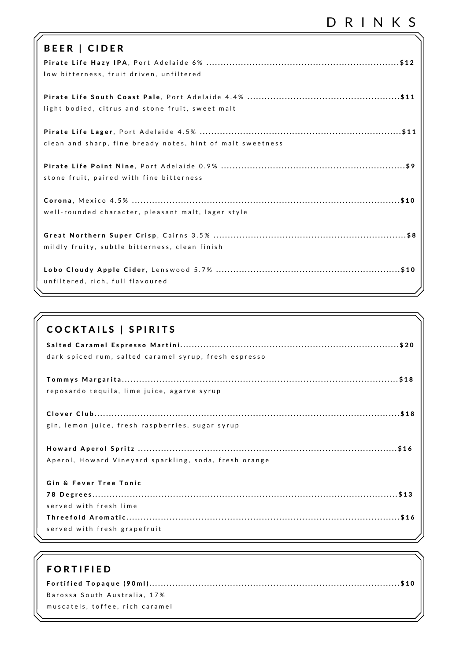# D R I N K S

| <b>BEER   CIDER</b>                                        |
|------------------------------------------------------------|
| low bitterness, fruit driven, unfiltered                   |
| light bodied, citrus and stone fruit, sweet malt           |
| clean and sharp, fine bready notes, hint of malt sweetness |
| stone fruit, paired with fine bitterness                   |
| well-rounded character, pleasant malt, lager style         |
| mildly fruity, subtle bitterness, clean finish             |
| unfiltered, rich, full flavoured                           |

| <b>COCKTAILS   SPIRITS</b>                            |
|-------------------------------------------------------|
|                                                       |
| dark spiced rum, salted caramel syrup, fresh espresso |
|                                                       |
| reposardo tequila, lime juice, agarve syrup           |
|                                                       |
| gin, lemon juice, fresh raspberries, sugar syrup      |
|                                                       |
| Aperol, Howard Vineyard sparkling, soda, fresh orange |
| Gin & Fever Tree Tonic                                |
|                                                       |
| served with fresh lime                                |
|                                                       |
| served with fresh grapefruit                          |

| <b>FORTIFIED</b>                |  |
|---------------------------------|--|
|                                 |  |
| Barossa South Australia, 17%    |  |
| muscatels, toffee, rich caramel |  |
|                                 |  |